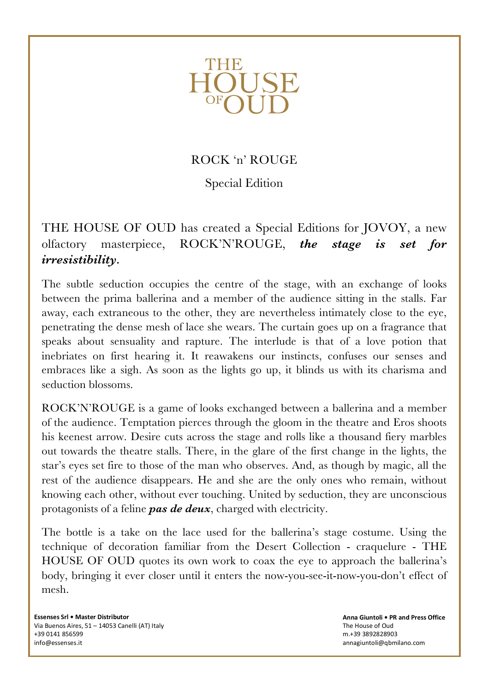

## ROCK 'n' ROUGE

Special Edition

THE HOUSE OF OUD has created a Special Editions for JOVOY, a new olfactory masterpiece, ROCK'N'ROUGE, *the stage is set for irresistibility.*

The subtle seduction occupies the centre of the stage, with an exchange of looks between the prima ballerina and a member of the audience sitting in the stalls. Far away, each extraneous to the other, they are nevertheless intimately close to the eye, penetrating the dense mesh of lace she wears. The curtain goes up on a fragrance that speaks about sensuality and rapture. The interlude is that of a love potion that inebriates on first hearing it. It reawakens our instincts, confuses our senses and embraces like a sigh. As soon as the lights go up, it blinds us with its charisma and seduction blossoms.

ROCK'N'ROUGE is a game of looks exchanged between a ballerina and a member of the audience. Temptation pierces through the gloom in the theatre and Eros shoots his keenest arrow. Desire cuts across the stage and rolls like a thousand fiery marbles out towards the theatre stalls. There, in the glare of the first change in the lights, the star's eyes set fire to those of the man who observes. And, as though by magic, all the rest of the audience disappears. He and she are the only ones who remain, without knowing each other, without ever touching. United by seduction, they are unconscious protagonists of a feline *pas de deux*, charged with electricity.

The bottle is a take on the lace used for the ballerina's stage costume. Using the technique of decoration familiar from the Desert Collection - craquelure - THE HOUSE OF OUD quotes its own work to coax the eye to approach the ballerina's body, bringing it ever closer until it enters the now-you-see-it-now-you-don't effect of mesh.

**Essenses Srl • Master Distributor** Via Buenos Aires, 51 - 14053 Canelli (AT) Italy +39 0141 856599 info@essenses.it

**Anna Giuntoli • PR and Press Office** The House of Oud m.+39 3892828903 annagiuntoli@qbmilano.com